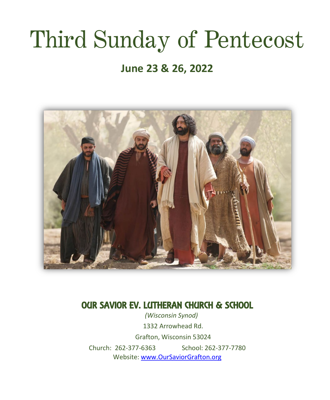# Third Sunday of Pentecost

# **June 23 & 26, 2022**



# OUR SAVIOR EV. LUTHERAN CHURCH & SCHOOL

*(Wisconsin Synod)* 1332 Arrowhead Rd. Grafton, Wisconsin 53024 Church: 262-377-6363 School: 262-377-7780 Website: [www.OurSaviorGrafton.org](http://www.oursaviorgrafton.org/)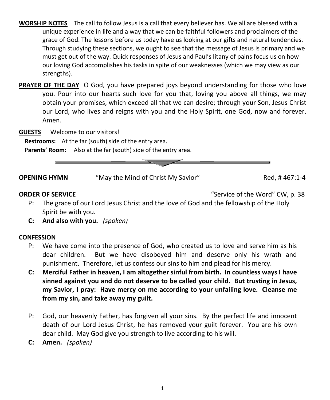- **WORSHIP NOTES** The call to follow Jesus is a call that every believer has. We all are blessed with a unique experience in life and a way that we can be faithful followers and proclaimers of the grace of God. The lessons before us today have us looking at our gifts and natural tendencies. Through studying these sections, we ought to see that the message of Jesus is primary and we must get out of the way. Quick responses of Jesus and Paul's litany of pains focus us on how our loving God accomplishes his tasks in spite of our weaknesses (which we may view as our strengths).
- **PRAYER OF THE DAY** O God, you have prepared joys beyond understanding for those who love you. Pour into our hearts such love for you that, loving you above all things, we may obtain your promises, which exceed all that we can desire; through your Son, Jesus Christ our Lord, who lives and reigns with you and the Holy Spirit, one God, now and forever. Amen.
- **GUESTS** Welcome to our visitors!

**Restrooms:** At the far (south) side of the entry area.

Parents' Room: Also at the far (south) side of the entry area.



**ORDER OF SERVICE CONSUMING THE SERVICE "Service of the Word" CW, p. 38** 

- P: The grace of our Lord Jesus Christ and the love of God and the fellowship of the Holy Spirit be with you.
- **C: And also with you.** *(spoken)*

#### **CONFESSION**

- P: We have come into the presence of God, who created us to love and serve him as his dear children. But we have disobeyed him and deserve only his wrath and punishment. Therefore, let us confess our sins to him and plead for his mercy.
- **C: Merciful Father in heaven, I am altogether sinful from birth. In countless ways I have sinned against you and do not deserve to be called your child. But trusting in Jesus, my Savior, I pray: Have mercy on me according to your unfailing love. Cleanse me from my sin, and take away my guilt.**
- P: God, our heavenly Father, has forgiven all your sins. By the perfect life and innocent death of our Lord Jesus Christ, he has removed your guilt forever. You are his own dear child. May God give you strength to live according to his will.
- **C: Amen.** *(spoken)*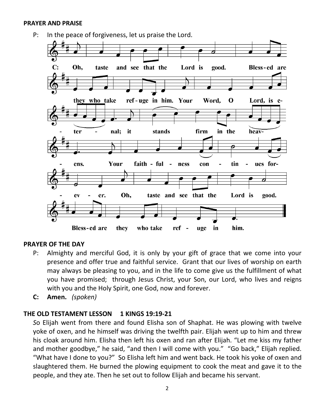#### **PRAYER AND PRAISE**



#### **PRAYER OF THE DAY**

- P: Almighty and merciful God, it is only by your gift of grace that we come into your presence and offer true and faithful service. Grant that our lives of worship on earth may always be pleasing to you, and in the life to come give us the fulfillment of what you have promised; through Jesus Christ, your Son, our Lord, who lives and reigns with you and the Holy Spirit, one God, now and forever.
- **C: Amen.** *(spoken)*

#### **THE OLD TESTAMENT LESSON 1 KINGS 19:19-21**

*S*o Elijah went from there and found Elisha son of Shaphat. He was plowing with twelve yoke of oxen, and he himself was driving the twelfth pair. Elijah went up to him and threw his cloak around him. Elisha then left his oxen and ran after Elijah. "Let me kiss my father and mother goodbye," he said, "and then I will come with you." "Go back," Elijah replied. "What have I done to you?" So Elisha left him and went back. He took his yoke of oxen and slaughtered them. He burned the plowing equipment to cook the meat and gave it to the people, and they ate. Then he set out to follow Elijah and became his servant.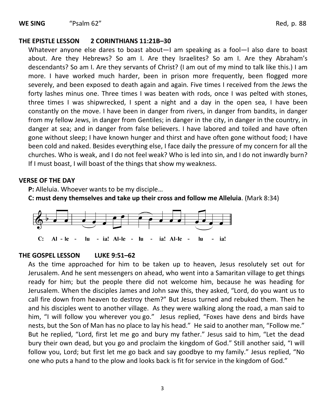#### **THE EPISTLE LESSON 2 CORINTHIANS 11:21B–30**

Whatever anyone else dares to boast about—I am speaking as a fool—I also dare to boast about. Are they Hebrews? So am I. Are they Israelites? So am I. Are they Abraham's descendants? So am I. Are they servants of Christ? (I am out of my mind to talk like this.) I am more. I have worked much harder, been in prison more frequently, been flogged more severely, and been exposed to death again and again. Five times I received from the Jews the forty lashes minus one. Three times I was beaten with rods, once I was pelted with stones, three times I was shipwrecked, I spent a night and a day in the open sea, I have been constantly on the move. I have been in danger from rivers, in danger from bandits, in danger from my fellow Jews, in danger from Gentiles; in danger in the city, in danger in the country, in danger at sea; and in danger from false believers. I have labored and toiled and have often gone without sleep; I have known hunger and thirst and have often gone without food; I have been cold and naked. Besides everything else, I face daily the pressure of my concern for all the churches. Who is weak, and I do not feel weak? Who is led into sin, and I do not inwardly burn? If I must boast, I will boast of the things that show my weakness.

#### **VERSE OF THE DAY**

**P:** Alleluia. Whoever wants to be my disciple…

**C: must deny themselves and take up their cross and follow me Alleluia**. (Mark 8:34)



#### **THE GOSPEL LESSON LUKE 9:51–62**

As the time approached for him to be taken up to heaven, Jesus resolutely set out for Jerusalem. And he sent messengers on ahead, who went into a Samaritan village to get things ready for him; but the people there did not welcome him, because he was heading for Jerusalem. When the disciples James and John saw this, they asked, "Lord, do you want us to call fire down from heaven to destroy them?" But Jesus turned and rebuked them. Then he and his disciples went to another village. As they were walking along the road, a man said to him, "I will follow you wherever you go." Jesus replied, "Foxes have dens and birds have nests, but the Son of Man has no place to lay his head." He said to another man, "Follow me." But he replied, "Lord, first let me go and bury my father." Jesus said to him, "Let the dead bury their own dead, but you go and proclaim the kingdom of God." Still another said, "I will follow you, Lord; but first let me go back and say goodbye to my family." Jesus replied, "No one who puts a hand to the plow and looks back is fit for service in the kingdom of God."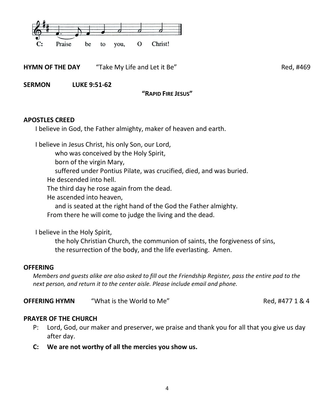

**HYMN OF THE DAY** "Take My Life and Let it Be" **Red, #469** Red, #469

**SERMON LUKE 9:51-62** 

**"RAPID FIRE JESUS"**

#### **APOSTLES CREED**

I believe in God, the Father almighty, maker of heaven and earth.

I believe in Jesus Christ, his only Son, our Lord,

who was conceived by the Holy Spirit,

born of the virgin Mary,

suffered under Pontius Pilate, was crucified, died, and was buried.

He descended into hell.

The third day he rose again from the dead.

He ascended into heaven,

and is seated at the right hand of the God the Father almighty.

From there he will come to judge the living and the dead.

I believe in the Holy Spirit,

the holy Christian Church, the communion of saints, the forgiveness of sins, the resurrection of the body, and the life everlasting. Amen.

#### **OFFERING**

*Members and guests alike are also asked to fill out the Friendship Register, pass the entire pad to the next person, and return it to the center aisle. Please include email and phone.*

**OFFERING HYMN** "What is the World to Me" Red, #477 1 & 4

#### **PRAYER OF THE CHURCH**

- P: Lord, God, our maker and preserver, we praise and thank you for all that you give us day after day.
- **C: We are not worthy of all the mercies you show us.**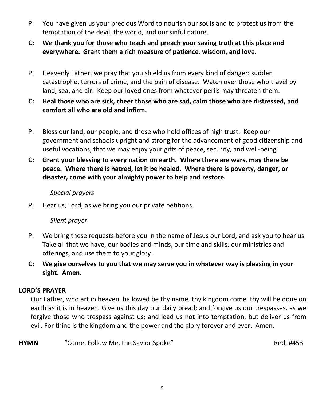- P: You have given us your precious Word to nourish our souls and to protect us from the temptation of the devil, the world, and our sinful nature.
- **C: We thank you for those who teach and preach your saving truth at this place and everywhere. Grant them a rich measure of patience, wisdom, and love.**
- P: Heavenly Father, we pray that you shield us from every kind of danger: sudden catastrophe, terrors of crime, and the pain of disease. Watch over those who travel by land, sea, and air. Keep our loved ones from whatever perils may threaten them.
- **C: Heal those who are sick, cheer those who are sad, calm those who are distressed, and comfort all who are old and infirm.**
- P: Bless our land, our people, and those who hold offices of high trust. Keep our government and schools upright and strong for the advancement of good citizenship and useful vocations, that we may enjoy your gifts of peace, security, and well-being.
- **C: Grant your blessing to every nation on earth. Where there are wars, may there be peace. Where there is hatred, let it be healed. Where there is poverty, danger, or disaster, come with your almighty power to help and restore.**

#### *Special prayers*

P: Hear us, Lord, as we bring you our private petitions.

### *Silent prayer*

- P: We bring these requests before you in the name of Jesus our Lord, and ask you to hear us. Take all that we have, our bodies and minds, our time and skills, our ministries and offerings, and use them to your glory.
- **C: We give ourselves to you that we may serve you in whatever way is pleasing in your sight. Amen.**

#### **LORD'S PRAYER**

Our Father, who art in heaven, hallowed be thy name, thy kingdom come, thy will be done on earth as it is in heaven. Give us this day our daily bread; and forgive us our trespasses, as we forgive those who trespass against us; and lead us not into temptation, but deliver us from evil. For thine is the kingdom and the power and the glory forever and ever. Amen.

**HYMN** "Come, Follow Me, the Savior Spoke" Network and the Savior Spoke Red, #453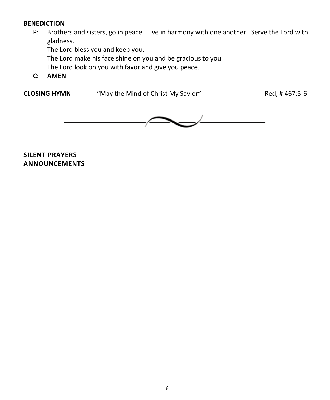#### **BENEDICTION**

P: Brothers and sisters, go in peace. Live in harmony with one another. Serve the Lord with gladness.

The Lord bless you and keep you. The Lord make his face shine on you and be gracious to you. The Lord look on you with favor and give you peace.

**C: AMEN**

**CLOSING HYMN** "May the Mind of Christ My Savior" Red, # 467:5-6



**SILENT PRAYERS ANNOUNCEMENTS**